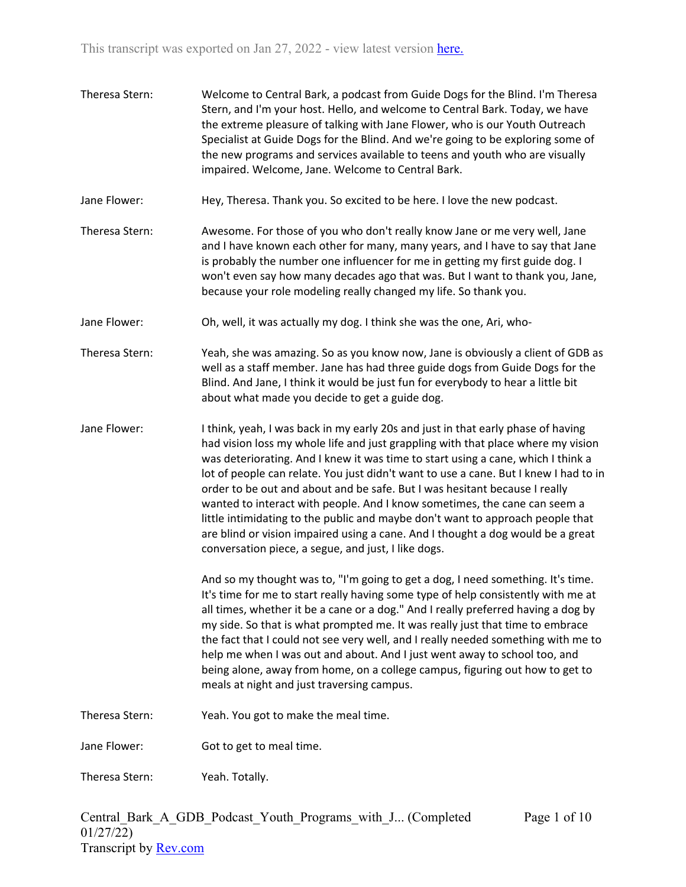Theresa Stern: Welcome to Central Bark, a podcast from Guide Dogs for the Blind. I'm Theresa Stern, and I'm your host. Hello, and welcome to Central Bark. Today, we have the extreme pleasure of talking with Jane Flower, who is our Youth Outreach Specialist at Guide Dogs for the Blind. And we're going to be exploring some of the new programs and services available to teens and youth who are visually impaired. Welcome, Jane. Welcome to Central Bark. Jane Flower: Hey, Theresa. Thank you. So excited to be here. I love the new podcast. Theresa Stern: Awesome. For those of you who don't really know Jane or me very well, Jane and I have known each other for many, many years, and I have to say that Jane is probably the number one influencer for me in getting my first guide dog. I won't even say how many decades ago that was. But I want to thank you, Jane, because your role modeling really changed my life. So thank you. Jane Flower: Oh, well, it was actually my dog. I think she was the one, Ari, who-Theresa Stern: Yeah, she was amazing. So as you know now, Jane is obviously a client of GDB as well as a staff member. Jane has had three guide dogs from Guide Dogs for the Blind. And Jane, I think it would be just fun for everybody to hear a little bit about what made you decide to get a guide dog. Jane Flower: I think, yeah, I was back in my early 20s and just in that early phase of having had vision loss my whole life and just grappling with that place where my vision was deteriorating. And I knew it was time to start using a cane, which I think a lot of people can relate. You just didn't want to use a cane. But I knew I had to in order to be out and about and be safe. But I was hesitant because I really wanted to interact with people. And I know sometimes, the cane can seem a little intimidating to the public and maybe don't want to approach people that are blind or vision impaired using a cane. And I thought a dog would be a great conversation piece, a segue, and just, I like dogs. And so my thought was to, "I'm going to get a dog, I need something. It's time. It's time for me to start really having some type of help consistently with me at all times, whether it be a cane or a dog." And I really preferred having a dog by my side. So that is what prompted me. It was really just that time to embrace the fact that I could not see very well, and I really needed something with me to help me when I was out and about. And I just went away to school too, and being alone, away from home, on a college campus, figuring out how to get to meals at night and just traversing campus. Theresa Stern: Yeah. You got to make the meal time. Jane Flower: Got to get to meal time. Theresa Stern: Yeah. Totally.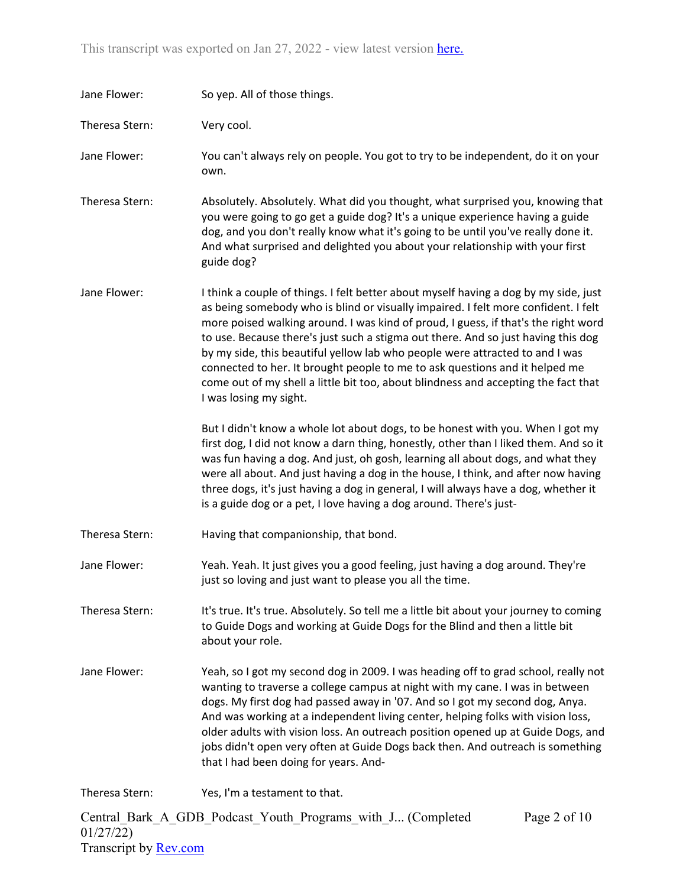| Jane Flower:   | So yep. All of those things.                                                                                                                                                                                                                                                                                                                                                                                                                                                                                                                                                                                                         |
|----------------|--------------------------------------------------------------------------------------------------------------------------------------------------------------------------------------------------------------------------------------------------------------------------------------------------------------------------------------------------------------------------------------------------------------------------------------------------------------------------------------------------------------------------------------------------------------------------------------------------------------------------------------|
| Theresa Stern: | Very cool.                                                                                                                                                                                                                                                                                                                                                                                                                                                                                                                                                                                                                           |
| Jane Flower:   | You can't always rely on people. You got to try to be independent, do it on your<br>own.                                                                                                                                                                                                                                                                                                                                                                                                                                                                                                                                             |
| Theresa Stern: | Absolutely. Absolutely. What did you thought, what surprised you, knowing that<br>you were going to go get a guide dog? It's a unique experience having a guide<br>dog, and you don't really know what it's going to be until you've really done it.<br>And what surprised and delighted you about your relationship with your first<br>guide dog?                                                                                                                                                                                                                                                                                   |
| Jane Flower:   | I think a couple of things. I felt better about myself having a dog by my side, just<br>as being somebody who is blind or visually impaired. I felt more confident. I felt<br>more poised walking around. I was kind of proud, I guess, if that's the right word<br>to use. Because there's just such a stigma out there. And so just having this dog<br>by my side, this beautiful yellow lab who people were attracted to and I was<br>connected to her. It brought people to me to ask questions and it helped me<br>come out of my shell a little bit too, about blindness and accepting the fact that<br>I was losing my sight. |
|                | But I didn't know a whole lot about dogs, to be honest with you. When I got my<br>first dog, I did not know a darn thing, honestly, other than I liked them. And so it<br>was fun having a dog. And just, oh gosh, learning all about dogs, and what they<br>were all about. And just having a dog in the house, I think, and after now having<br>three dogs, it's just having a dog in general, I will always have a dog, whether it<br>is a guide dog or a pet, I love having a dog around. There's just-                                                                                                                          |
| Theresa Stern: | Having that companionship, that bond.                                                                                                                                                                                                                                                                                                                                                                                                                                                                                                                                                                                                |
| Jane Flower:   | Yeah. Yeah. It just gives you a good feeling, just having a dog around. They're<br>just so loving and just want to please you all the time.                                                                                                                                                                                                                                                                                                                                                                                                                                                                                          |
| Theresa Stern: | It's true. It's true. Absolutely. So tell me a little bit about your journey to coming<br>to Guide Dogs and working at Guide Dogs for the Blind and then a little bit<br>about your role.                                                                                                                                                                                                                                                                                                                                                                                                                                            |
| Jane Flower:   | Yeah, so I got my second dog in 2009. I was heading off to grad school, really not<br>wanting to traverse a college campus at night with my cane. I was in between<br>dogs. My first dog had passed away in '07. And so I got my second dog, Anya.<br>And was working at a independent living center, helping folks with vision loss,<br>older adults with vision loss. An outreach position opened up at Guide Dogs, and<br>jobs didn't open very often at Guide Dogs back then. And outreach is something<br>that I had been doing for years. And-                                                                                 |
| Theresa Stern: | Yes, I'm a testament to that.                                                                                                                                                                                                                                                                                                                                                                                                                                                                                                                                                                                                        |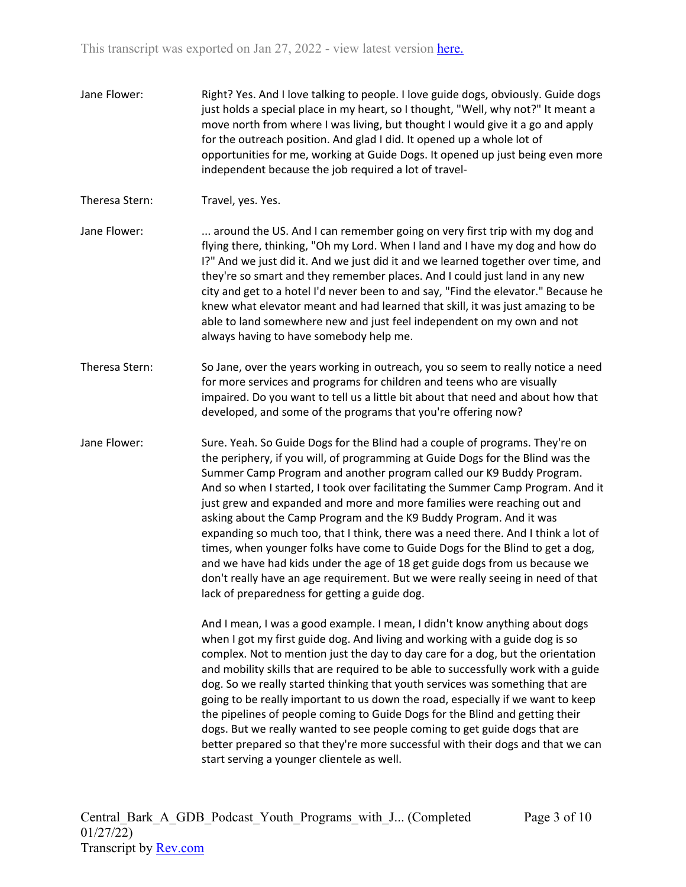- Jane Flower: Right? Yes. And I love talking to people. I love guide dogs, obviously. Guide dogs just holds a special place in my heart, so I thought, "Well, why not?" It meant a move north from where I was living, but thought I would give it a go and apply for the outreach position. And glad I did. It opened up a whole lot of opportunities for me, working at Guide Dogs. It opened up just being even more independent because the job required a lot of travel-
- Theresa Stern: Travel, yes. Yes.
- Jane Flower: . ... around the US. And I can remember going on very first trip with my dog and flying there, thinking, "Oh my Lord. When I land and I have my dog and how do I?" And we just did it. And we just did it and we learned together over time, and they're so smart and they remember places. And I could just land in any new city and get to a hotel I'd never been to and say, "Find the elevator." Because he knew what elevator meant and had learned that skill, it was just amazing to be able to land somewhere new and just feel independent on my own and not always having to have somebody help me.
- Theresa Stern: So Jane, over the years working in outreach, you so seem to really notice a need for more services and programs for children and teens who are visually impaired. Do you want to tell us a little bit about that need and about how that developed, and some of the programs that you're offering now?
- Jane Flower: Sure. Yeah. So Guide Dogs for the Blind had a couple of programs. They're on the periphery, if you will, of programming at Guide Dogs for the Blind was the Summer Camp Program and another program called our K9 Buddy Program. And so when I started, I took over facilitating the Summer Camp Program. And it just grew and expanded and more and more families were reaching out and asking about the Camp Program and the K9 Buddy Program. And it was expanding so much too, that I think, there was a need there. And I think a lot of times, when younger folks have come to Guide Dogs for the Blind to get a dog, and we have had kids under the age of 18 get guide dogs from us because we don't really have an age requirement. But we were really seeing in need of that lack of preparedness for getting a guide dog.

And I mean, I was a good example. I mean, I didn't know anything about dogs when I got my first guide dog. And living and working with a guide dog is so complex. Not to mention just the day to day care for a dog, but the orientation and mobility skills that are required to be able to successfully work with a guide dog. So we really started thinking that youth services was something that are going to be really important to us down the road, especially if we want to keep the pipelines of people coming to Guide Dogs for the Blind and getting their dogs. But we really wanted to see people coming to get guide dogs that are better prepared so that they're more successful with their dogs and that we can start serving a younger clientele as well.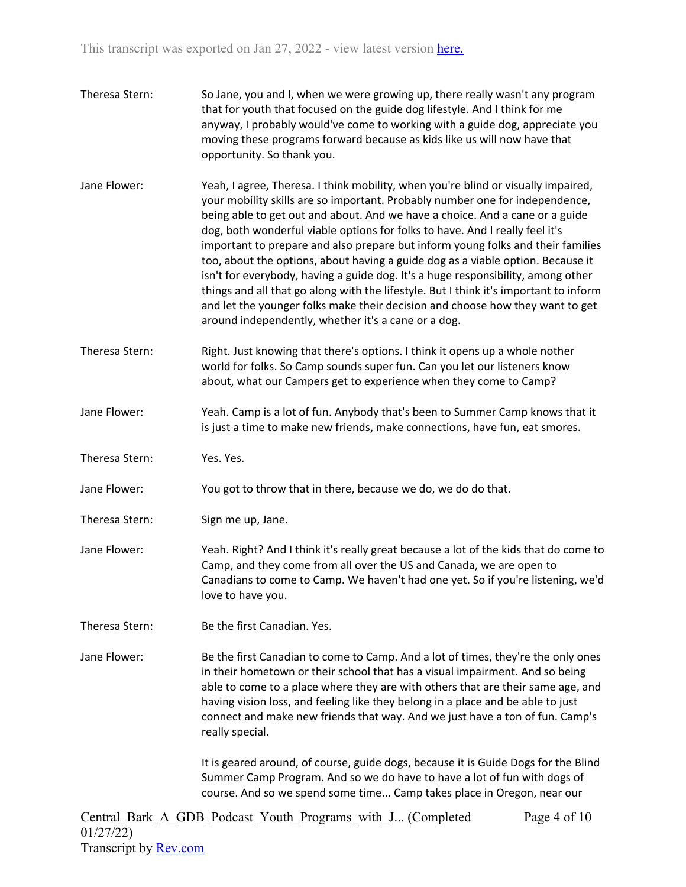- Theresa Stern: So Jane, you and I, when we were growing up, there really wasn't any program that for youth that focused on the guide dog lifestyle. And I think for me anyway, I probably would've come to working with a guide dog, appreciate you moving these programs forward because as kids like us will now have that opportunity. So thank you.
- Jane Flower: Yeah, I agree, Theresa. I think mobility, when you're blind or visually impaired, your mobility skills are so important. Probably number one for independence, being able to get out and about. And we have a choice. And a cane or a guide dog, both wonderful viable options for folks to have. And I really feel it's important to prepare and also prepare but inform young folks and their families too, about the options, about having a guide dog as a viable option. Because it isn't for everybody, having a guide dog. It's a huge responsibility, among other things and all that go along with the lifestyle. But I think it's important to inform and let the younger folks make their decision and choose how they want to get around independently, whether it's a cane or a dog.
- Theresa Stern: Right. Just knowing that there's options. I think it opens up a whole nother world for folks. So Camp sounds super fun. Can you let our listeners know about, what our Campers get to experience when they come to Camp?
- Jane Flower: Yeah. Camp is a lot of fun. Anybody that's been to Summer Camp knows that it is just a time to make new friends, make connections, have fun, eat smores.
- Theresa Stern: Yes. Yes.

Jane Flower: You got to throw that in there, because we do, we do do that.

- Theresa Stern: Sign me up, Jane.
- Jane Flower: Yeah. Right? And I think it's really great because a lot of the kids that do come to Camp, and they come from all over the US and Canada, we are open to Canadians to come to Camp. We haven't had one yet. So if you're listening, we'd love to have you.
- Theresa Stern: Be the first Canadian. Yes.

Jane Flower: Be the first Canadian to come to Camp. And a lot of times, they're the only ones in their hometown or their school that has a visual impairment. And so being able to come to a place where they are with others that are their same age, and having vision loss, and feeling like they belong in a place and be able to just connect and make new friends that way. And we just have a ton of fun. Camp's really special.

> It is geared around, of course, guide dogs, because it is Guide Dogs for the Blind Summer Camp Program. And so we do have to have a lot of fun with dogs of course. And so we spend some time... Camp takes place in Oregon, near our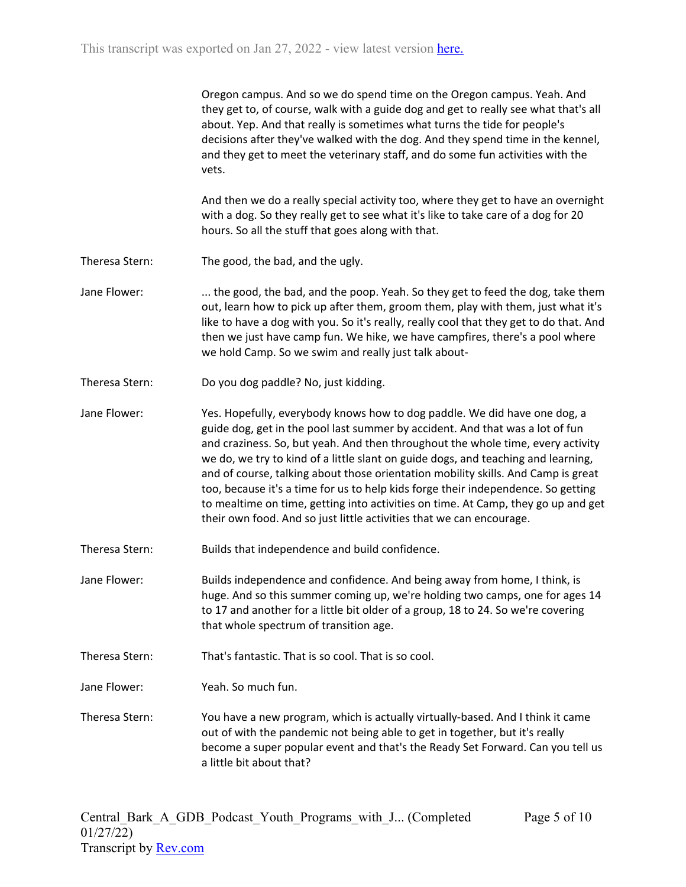Oregon campus. And so we do spend time on the Oregon campus. Yeah. And they get to, of course, walk with a guide dog and get to really see what that's all about. Yep. And that really is sometimes what turns the tide for people's decisions after they've walked with the dog. And they spend time in the kennel, and they get to meet the veterinary staff, and do some fun activities with the vets.

And then we do a really special activity too, where they get to have an overnight with a dog. So they really get to see what it's like to take care of a dog for 20 hours. So all the stuff that goes along with that.

- Theresa Stern: The good, the bad, and the ugly.
- Jane Flower: .... the good, the bad, and the poop. Yeah. So they get to feed the dog, take them out, learn how to pick up after them, groom them, play with them, just what it's like to have a dog with you. So it's really, really cool that they get to do that. And then we just have camp fun. We hike, we have campfires, there's a pool where we hold Camp. So we swim and really just talk about-
- Theresa Stern: Do you dog paddle? No, just kidding.

Jane Flower: Yes. Hopefully, everybody knows how to dog paddle. We did have one dog, a guide dog, get in the pool last summer by accident. And that was a lot of fun and craziness. So, but yeah. And then throughout the whole time, every activity we do, we try to kind of a little slant on guide dogs, and teaching and learning, and of course, talking about those orientation mobility skills. And Camp is great too, because it's a time for us to help kids forge their independence. So getting to mealtime on time, getting into activities on time. At Camp, they go up and get their own food. And so just little activities that we can encourage.

- Theresa Stern: Builds that independence and build confidence.
- Jane Flower: Builds independence and confidence. And being away from home, I think, is huge. And so this summer coming up, we're holding two camps, one for ages 14 to 17 and another for a little bit older of a group, 18 to 24. So we're covering that whole spectrum of transition age.
- Theresa Stern: That's fantastic. That is so cool. That is so cool.

Jane Flower: Yeah. So much fun.

Theresa Stern: You have a new program, which is actually virtually-based. And I think it came out of with the pandemic not being able to get in together, but it's really become a super popular event and that's the Ready Set Forward. Can you tell us a little bit about that?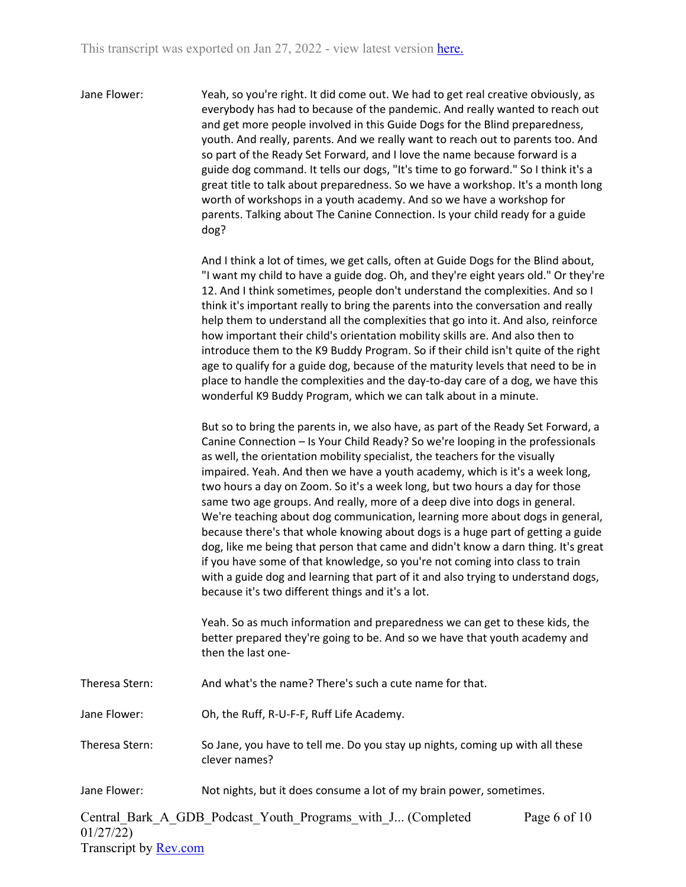Jane Flower: Yeah, so you're right. It did come out. We had to get real creative obviously, as everybody has had to because of the pandemic. And really wanted to reach out and get more people involved in this Guide Dogs for the Blind preparedness, youth. And really, parents. And we really want to reach out to parents too. And so part of the Ready Set Forward, and I love the name because forward is a guide dog command. It tells our dogs, "It's time to go forward." So I think it's a great title to talk about preparedness. So we have a workshop. It's a month long worth of workshops in a youth academy. And so we have a workshop for parents. Talking about The Canine Connection. Is your child ready for a guide dog?

> And I think a lot of times, we get calls, often at Guide Dogs for the Blind about, "I want my child to have a guide dog. Oh, and they're eight years old." Or they're 12. And I think sometimes, people don't understand the complexities. And so I think it's important really to bring the parents into the conversation and really help them to understand all the complexities that go into it. And also, reinforce how important their child's orientation mobility skills are. And also then to introduce them to the K9 Buddy Program. So if their child isn't quite of the right age to qualify for a guide dog, because of the maturity levels that need to be in place to handle the complexities and the day-to-day care of a dog, we have this wonderful K9 Buddy Program, which we can talk about in a minute.

> But so to bring the parents in, we also have, as part of the Ready Set Forward, a Canine Connection – Is Your Child Ready? So we're looping in the professionals as well, the orientation mobility specialist, the teachers for the visually impaired. Yeah. And then we have a youth academy, which is it's a week long, two hours a day on Zoom. So it's a week long, but two hours a day for those same two age groups. And really, more of a deep dive into dogs in general. We're teaching about dog communication, learning more about dogs in general, because there's that whole knowing about dogs is a huge part of getting a guide dog, like me being that person that came and didn't know a darn thing. It's great if you have some of that knowledge, so you're not coming into class to train with a guide dog and learning that part of it and also trying to understand dogs, because it's two different things and it's a lot.

Yeah. So as much information and preparedness we can get to these kids, the better prepared they're going to be. And so we have that youth academy and then the last one-

- Theresa Stern: And what's the name? There's such a cute name for that.
- Jane Flower: Oh, the Ruff, R-U-F-F, Ruff Life Academy.
- Theresa Stern: So Jane, you have to tell me. Do you stay up nights, coming up with all these clever names?
- Jane Flower: Not nights, but it does consume a lot of my brain power, sometimes.

Central\_Bark\_A\_GDB\_Podcast\_Youth\_Programs\_with\_J... (Completed 01/27/22) Transcript by [Rev.com](https://www.rev.com/) Page 6 of 10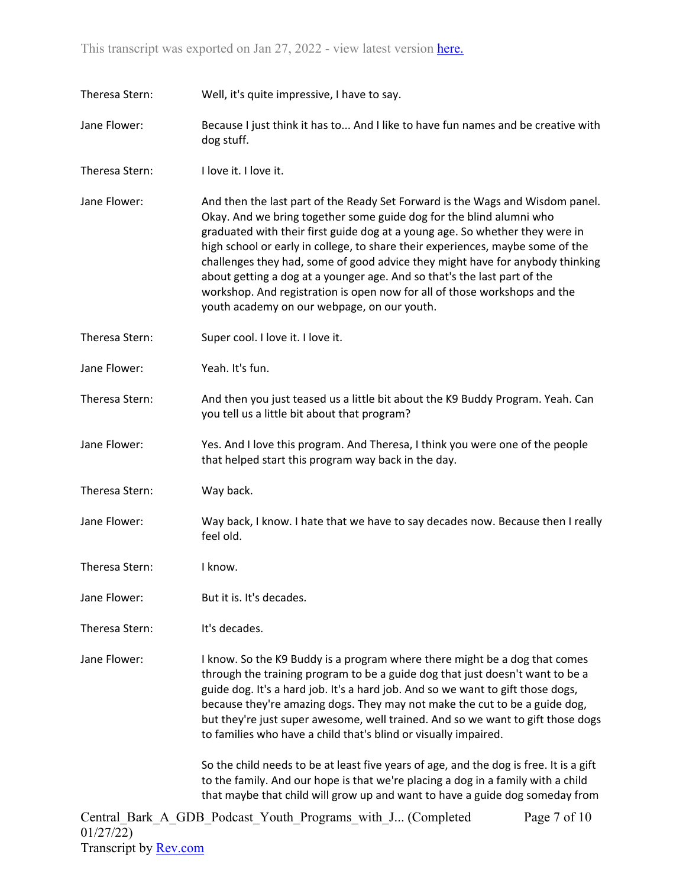Theresa Stern: Well, it's quite impressive, I have to say.

- Jane Flower: Because I just think it has to... And I like to have fun names and be creative with dog stuff.
- Theresa Stern: I love it. I love it.
- Jane Flower: And then the last part of the Ready Set Forward is the Wags and Wisdom panel. Okay. And we bring together some guide dog for the blind alumni who graduated with their first guide dog at a young age. So whether they were in high school or early in college, to share their experiences, maybe some of the challenges they had, some of good advice they might have for anybody thinking about getting a dog at a younger age. And so that's the last part of the workshop. And registration is open now for all of those workshops and the youth academy on our webpage, on our youth.
- Theresa Stern: Super cool. I love it. I love it.
- Jane Flower: Yeah. It's fun.
- Theresa Stern: And then you just teased us a little bit about the K9 Buddy Program. Yeah. Can you tell us a little bit about that program?
- Jane Flower: Yes. And I love this program. And Theresa, I think you were one of the people that helped start this program way back in the day.
- Theresa Stern: Way back.
- Jane Flower: Way back, I know. I hate that we have to say decades now. Because then I really feel old.
- Theresa Stern: I know.
- Jane Flower: But it is. It's decades.
- Theresa Stern: It's decades.

Jane Flower: I know. So the K9 Buddy is a program where there might be a dog that comes through the training program to be a guide dog that just doesn't want to be a guide dog. It's a hard job. It's a hard job. And so we want to gift those dogs, because they're amazing dogs. They may not make the cut to be a guide dog, but they're just super awesome, well trained. And so we want to gift those dogs to families who have a child that's blind or visually impaired.

> So the child needs to be at least five years of age, and the dog is free. It is a gift to the family. And our hope is that we're placing a dog in a family with a child that maybe that child will grow up and want to have a guide dog someday from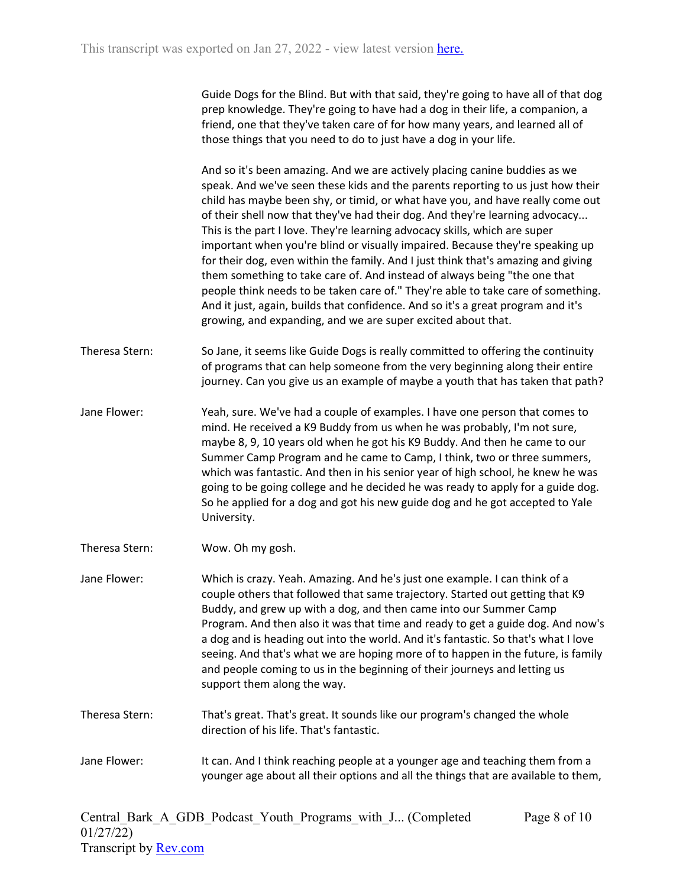Guide Dogs for the Blind. But with that said, they're going to have all of that dog prep knowledge. They're going to have had a dog in their life, a companion, a friend, one that they've taken care of for how many years, and learned all of those things that you need to do to just have a dog in your life.

And so it's been amazing. And we are actively placing canine buddies as we speak. And we've seen these kids and the parents reporting to us just how their child has maybe been shy, or timid, or what have you, and have really come out of their shell now that they've had their dog. And they're learning advocacy... This is the part I love. They're learning advocacy skills, which are super important when you're blind or visually impaired. Because they're speaking up for their dog, even within the family. And I just think that's amazing and giving them something to take care of. And instead of always being "the one that people think needs to be taken care of." They're able to take care of something. And it just, again, builds that confidence. And so it's a great program and it's growing, and expanding, and we are super excited about that.

- Theresa Stern: So Jane, it seems like Guide Dogs is really committed to offering the continuity of programs that can help someone from the very beginning along their entire journey. Can you give us an example of maybe a youth that has taken that path?
- Jane Flower: Yeah, sure. We've had a couple of examples. I have one person that comes to mind. He received a K9 Buddy from us when he was probably, I'm not sure, maybe 8, 9, 10 years old when he got his K9 Buddy. And then he came to our Summer Camp Program and he came to Camp, I think, two or three summers, which was fantastic. And then in his senior year of high school, he knew he was going to be going college and he decided he was ready to apply for a guide dog. So he applied for a dog and got his new guide dog and he got accepted to Yale University.
- Theresa Stern: Wow. Oh my gosh.
- Jane Flower: Which is crazy. Yeah. Amazing. And he's just one example. I can think of a couple others that followed that same trajectory. Started out getting that K9 Buddy, and grew up with a dog, and then came into our Summer Camp Program. And then also it was that time and ready to get a guide dog. And now's a dog and is heading out into the world. And it's fantastic. So that's what I love seeing. And that's what we are hoping more of to happen in the future, is family and people coming to us in the beginning of their journeys and letting us support them along the way.
- Theresa Stern: That's great. That's great. It sounds like our program's changed the whole direction of his life. That's fantastic.
- Jane Flower: It can. And I think reaching people at a younger age and teaching them from a younger age about all their options and all the things that are available to them,

Page 8 of 10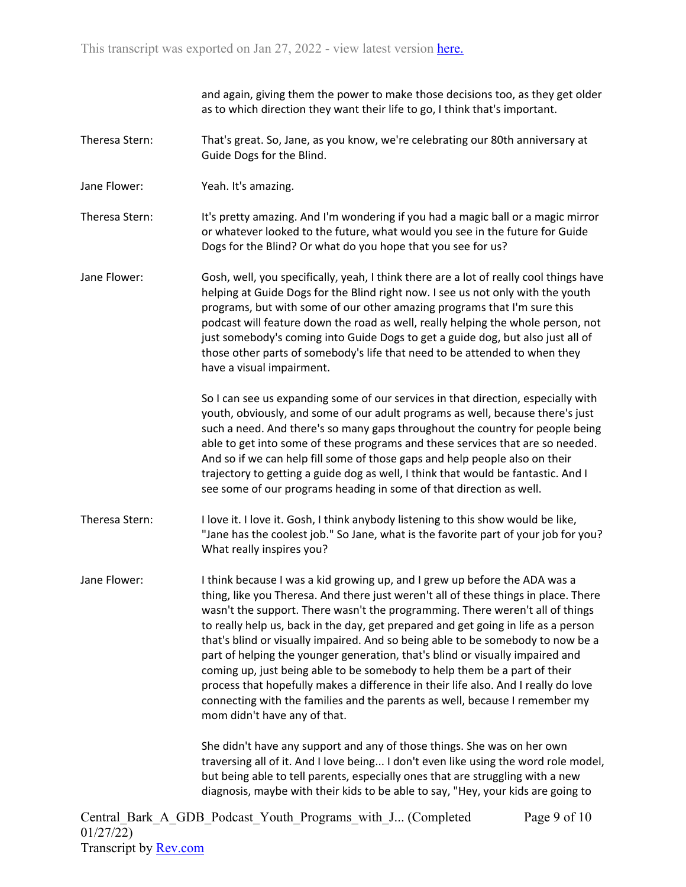and again, giving them the power to make those decisions too, as they get older as to which direction they want their life to go, I think that's important.

- Theresa Stern: That's great. So, Jane, as you know, we're celebrating our 80th anniversary at Guide Dogs for the Blind.
- Jane Flower: Yeah. It's amazing.

Theresa Stern: It's pretty amazing. And I'm wondering if you had a magic ball or a magic mirror or whatever looked to the future, what would you see in the future for Guide Dogs for the Blind? Or what do you hope that you see for us?

Jane Flower: Gosh, well, you specifically, yeah, I think there are a lot of really cool things have helping at Guide Dogs for the Blind right now. I see us not only with the youth programs, but with some of our other amazing programs that I'm sure this podcast will feature down the road as well, really helping the whole person, not just somebody's coming into Guide Dogs to get a guide dog, but also just all of those other parts of somebody's life that need to be attended to when they have a visual impairment.

> So I can see us expanding some of our services in that direction, especially with youth, obviously, and some of our adult programs as well, because there's just such a need. And there's so many gaps throughout the country for people being able to get into some of these programs and these services that are so needed. And so if we can help fill some of those gaps and help people also on their trajectory to getting a guide dog as well, I think that would be fantastic. And I see some of our programs heading in some of that direction as well.

- Theresa Stern: I love it. I love it. Gosh, I think anybody listening to this show would be like, "Jane has the coolest job." So Jane, what is the favorite part of your job for you? What really inspires you?
- Jane Flower: I think because I was a kid growing up, and I grew up before the ADA was a thing, like you Theresa. And there just weren't all of these things in place. There wasn't the support. There wasn't the programming. There weren't all of things to really help us, back in the day, get prepared and get going in life as a person that's blind or visually impaired. And so being able to be somebody to now be a part of helping the younger generation, that's blind or visually impaired and coming up, just being able to be somebody to help them be a part of their process that hopefully makes a difference in their life also. And I really do love connecting with the families and the parents as well, because I remember my mom didn't have any of that.

She didn't have any support and any of those things. She was on her own traversing all of it. And I love being... I don't even like using the word role model, but being able to tell parents, especially ones that are struggling with a new diagnosis, maybe with their kids to be able to say, "Hey, your kids are going to